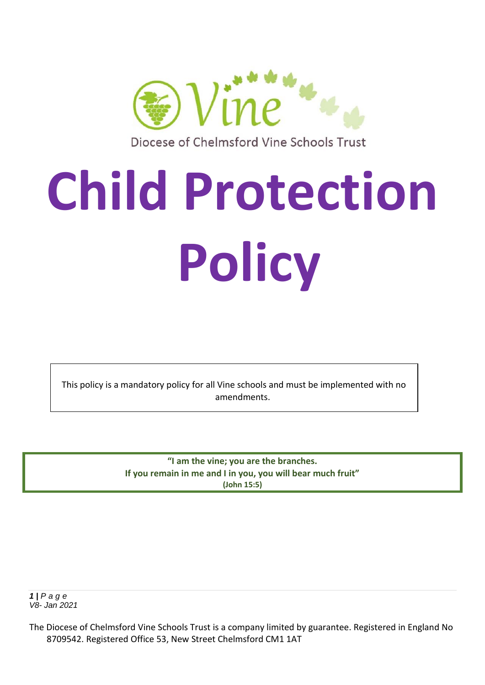

Diocese of Chelmsford Vine Schools Trust

# **Child Protection Policy**

This policy is a mandatory policy for all Vine schools and must be implemented with no amendments.

> **"I am the vine; you are the branches. If you remain in me and I in you, you will bear much fruit" (John 15:5)**

*1 | P a g e V8- Jan 2021*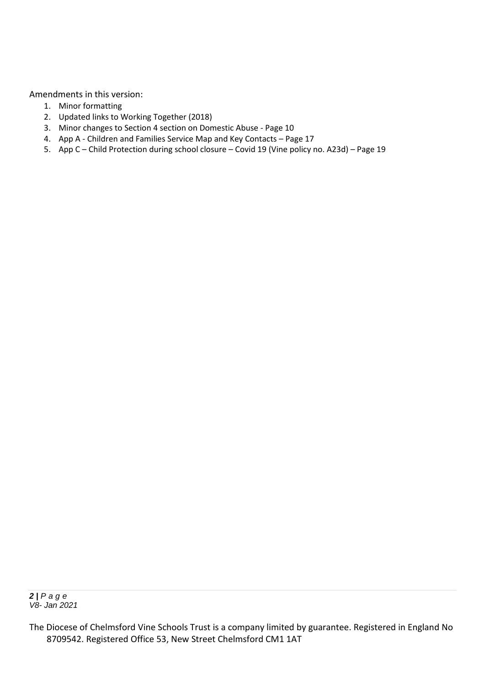Amendments in this version:

- 1. Minor formatting
- 2. Updated links to Working Together (2018)
- 3. Minor changes to Section 4 section on Domestic Abuse Page 10
- 4. App A Children and Families Service Map and Key Contacts Page 17
- 5. App C Child Protection during school closure Covid 19 (Vine policy no. A23d) Page 19

The Diocese of Chelmsford Vine Schools Trust is a company limited by guarantee. Registered in England No 8709542. Registered Office 53, New Street Chelmsford CM1 1AT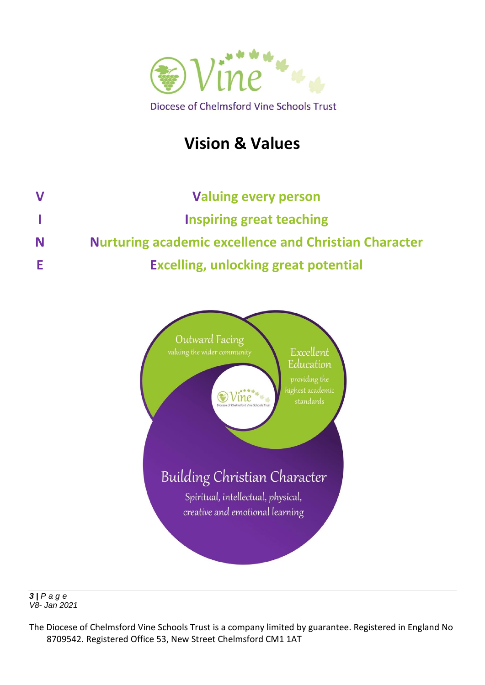

# **Vision & Values**

| $\bf V$ | <b>Valuing every person</b>                                  |
|---------|--------------------------------------------------------------|
|         | <b>Inspiring great teaching</b>                              |
| N       | <b>Nurturing academic excellence and Christian Character</b> |
| E       | <b>Excelling, unlocking great potential</b>                  |



*3 | P a g e V8- Jan 2021*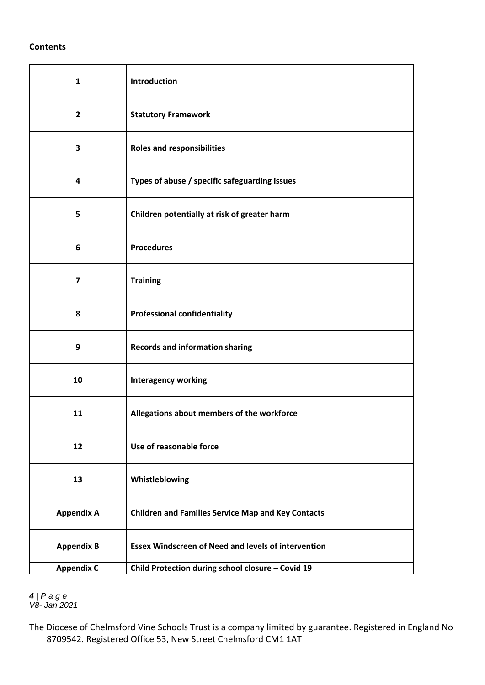#### **Contents**

| $\mathbf{1}$            | Introduction                                               |
|-------------------------|------------------------------------------------------------|
| $\overline{2}$          | <b>Statutory Framework</b>                                 |
| 3                       | <b>Roles and responsibilities</b>                          |
| 4                       | Types of abuse / specific safeguarding issues              |
| 5                       | Children potentially at risk of greater harm               |
| 6                       | <b>Procedures</b>                                          |
| $\overline{\mathbf{z}}$ | <b>Training</b>                                            |
| 8                       | <b>Professional confidentiality</b>                        |
| 9                       | <b>Records and information sharing</b>                     |
| 10                      | <b>Interagency working</b>                                 |
| 11                      | Allegations about members of the workforce                 |
| 12                      | Use of reasonable force                                    |
| 13                      | Whistleblowing                                             |
| <b>Appendix A</b>       | <b>Children and Families Service Map and Key Contacts</b>  |
| <b>Appendix B</b>       | <b>Essex Windscreen of Need and levels of intervention</b> |
| <b>Appendix C</b>       | Child Protection during school closure - Covid 19          |

 *| P a g e V8- Jan 2021*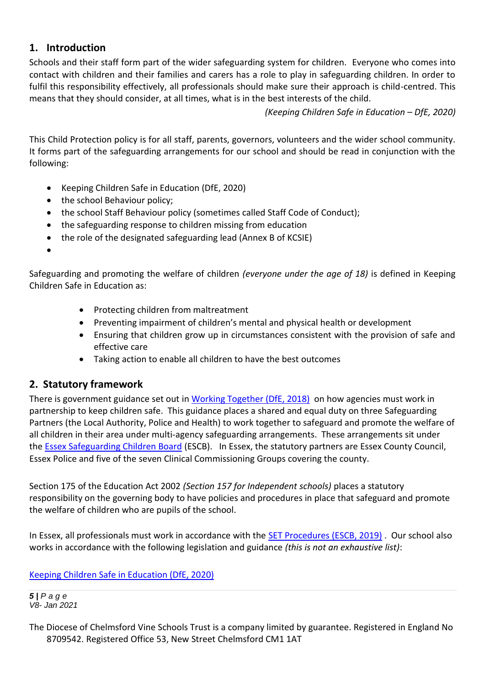# **1. Introduction**

Schools and their staff form part of the wider safeguarding system for children. Everyone who comes into contact with children and their families and carers has a role to play in safeguarding children. In order to fulfil this responsibility effectively, all professionals should make sure their approach is child-centred. This means that they should consider, at all times, what is in the best interests of the child.

*(Keeping Children Safe in Education – DfE, 2020)*

This Child Protection policy is for all staff, parents, governors, volunteers and the wider school community. It forms part of the safeguarding arrangements for our school and should be read in conjunction with the following:

- Keeping Children Safe in Education (DfE, 2020)
- the school Behaviour policy;
- the school Staff Behaviour policy (sometimes called Staff Code of Conduct);
- the safeguarding response to children missing from education
- the role of the designated safeguarding lead (Annex B of KCSIE)

•

Safeguarding and promoting the welfare of children *(everyone under the age of 18)* is defined in Keeping Children Safe in Education as:

- Protecting children from maltreatment
- Preventing impairment of children's mental and physical health or development
- Ensuring that children grow up in circumstances consistent with the provision of safe and effective care
- Taking action to enable all children to have the best outcomes

# **2. Statutory framework**

There is government guidance set out in [Working Together \(DfE, 2018\)](https://assets.publishing.service.gov.uk/government/uploads/system/uploads/attachment_data/file/942454/Working_together_to_safeguard_children_inter_agency_guidance.pdf) on how agencies must work in partnership to keep children safe. This guidance places a shared and equal duty on three Safeguarding Partners (the Local Authority, Police and Health) to work together to safeguard and promote the welfare of all children in their area under multi-agency safeguarding arrangements. These arrangements sit under the [Essex Safeguarding Children Board](http://www.escb.co.uk/Home.aspx) (ESCB). In Essex, the statutory partners are Essex County Council, Essex Police and five of the seven Clinical Commissioning Groups covering the county.

Section 175 of the Education Act 2002 *(Section 157 for Independent schools)* places a statutory responsibility on the governing body to have policies and procedures in place that safeguard and promote the welfare of children who are pupils of the school.

In Essex, all professionals must work in accordance with the [SET Procedures \(ESCB, 2019\)](http://www.escb.co.uk/) . Our school also works in accordance with the following legislation and guidance *(this is not an exhaustive list)*:

# [Keeping Children Safe in Education \(DfE, 2020\)](https://assets.publishing.service.gov.uk/government/uploads/system/uploads/attachment_data/file/892394/Keeping_children_safe_in_education_2020.pdf)

*5 | P a g e V8- Jan 2021*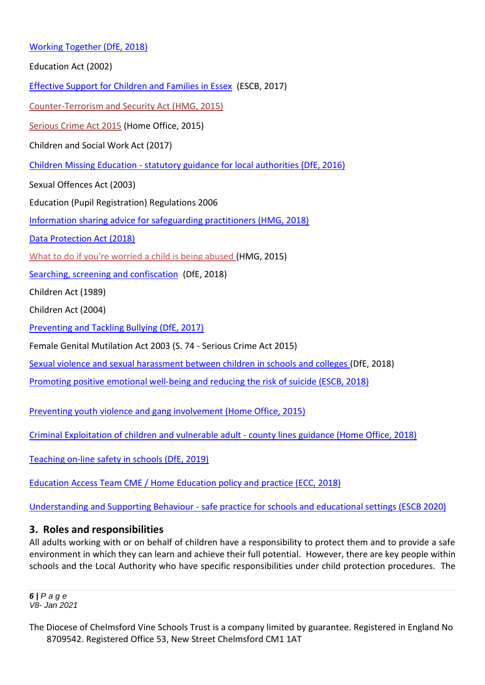#### [Working Together \(DfE, 2018\)](https://assets.publishing.service.gov.uk/government/uploads/system/uploads/attachment_data/file/942454/Working_together_to_safeguard_children_inter_agency_guidance.pdf)

Education Act (2002)

[Effective Support for Children and Families in Essex](http://www.escb.co.uk/Portals/67/Documents/professionals/EffectiveSupportBooklet2017v5-FINAL.pdf) (ESCB, 2017)

[Counter-Terrorism and Security Act \(HMG, 2015\)](http://www.legislation.gov.uk/ukpga/2015/6/contents)

[Serious Crime Act 2015](https://www.gov.uk/government/collections/serious-crime-bill) (Home Office, 2015)

Children and Social Work Act (2017)

Children Missing Education - [statutory guidance for local authorities \(DfE, 2016\)](https://assets.publishing.service.gov.uk/government/uploads/system/uploads/attachment_data/file/550416/Children_Missing_Education_-_statutory_guidance.pdf)

Sexual Offences Act (2003)

Education (Pupil Registration) Regulations 2006

[Information sharing advice for safeguarding practitioners \(HMG, 2018\)](https://assets.publishing.service.gov.uk/government/uploads/system/uploads/attachment_data/file/721581/Information_sharing_advice_practitioners_safeguarding_services.pdf)

[Data Protection Act \(2018\)](http://www.legislation.gov.uk/ukpga/2018/12/pdfs/ukpga_20180012_en.pdf) 

[What to do if you're worried a child is being abused \(](https://www.gov.uk/government/uploads/system/uploads/attachment_data/file/419604/What_to_do_if_you_re_worried_a_child_is_being_abused.pdf)HMG, 2015)

[Searching, screening and confiscation](https://assets.publishing.service.gov.uk/government/uploads/system/uploads/attachment_data/file/674416/Searching_screening_and_confiscation.pdf) (DfE, 2018)

Children Act (1989)

Children Act (2004)

[Preventing and Tackling Bullying \(DfE, 2017\)](https://www.gov.uk/government/uploads/system/uploads/attachment_data/file/623895/Preventing_and_tackling_bullying_advice.pdf)

Female Genital Mutilation Act 2003 (S. 74 - Serious Crime Act 2015)

[Sexual violence and sexual harassment between children in schools and colleges \(](https://www.gov.uk/government/uploads/system/uploads/attachment_data/file/667862/Sexual_Harassment_and_Sexual_Violence_-_Advice.pdf)DfE, 2018)

[Promoting positive emotional well-being and reducing the risk of suicide \(ESCB, 2018\)](https://schools.essex.gov.uk/pupils/Safeguarding/Emotional_Wellbeing_and_Mental_Health/Documents/Promoting%20Positive%20Emotional%20Well-being%20and%20Reducing%20the%20Risk%20of%20Suicide%20-%20Autumn%202018.pdf)

Preventing youth [violence and gang involvement \(Home Office, 2015\)](https://assets.publishing.service.gov.uk/government/uploads/system/uploads/attachment_data/file/418131/Preventing_youth_violence_and_gang_involvement_v3_March2015.pdf)

[Criminal Exploitation of children and vulnerable adult -](https://assets.publishing.service.gov.uk/government/uploads/system/uploads/attachment_data/file/741194/HOCountyLinesGuidanceSept2018.pdf) county lines guidance (Home Office, 2018)

[Teaching on-line safety in schools \(DfE, 2019\)](https://assets.publishing.service.gov.uk/government/uploads/system/uploads/attachment_data/file/811796/Teaching_online_safety_in_school.pdf)

[Education Access Team CME / Home Education policy and practice \(ECC, 2018\)](https://schools.essex.gov.uk/pupils/Education_Access/Documents/Education%20Access%20-%20CME%20and%20EHE%20Team%20-%20Policy%20and%20Practice%20Guidance%20document.pdf)

Understanding and Supporting Behaviour - [safe practice for schools and educational settings \(ESCB 2020\)](https://schools.essex.gov.uk/pupils/Safeguarding/Documents/Understanding%20and%20Supporting%20Behaviour%20-%20Safe%20Practice%20for%20Schools%20-%20Summer%202020.pdf)

#### **3. Roles and responsibilities**

All adults working with or on behalf of children have a responsibility to protect them and to provide a safe environment in which they can learn and achieve their full potential. However, there are key people within schools and the Local Authority who have specific responsibilities under child protection procedures. The

*6 | P a g e V8- Jan 2021*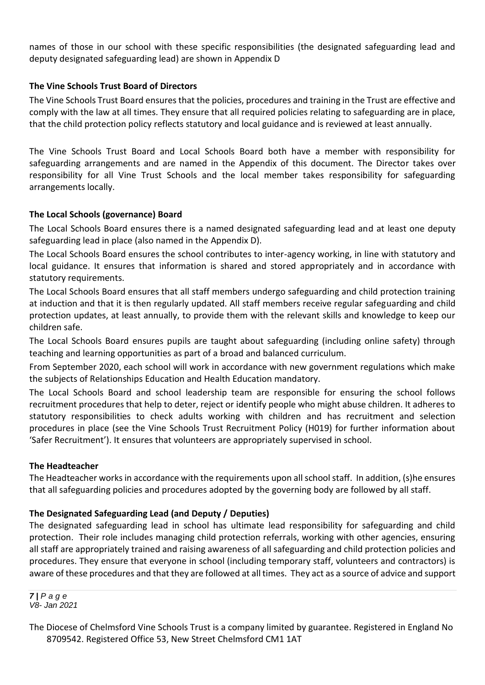names of those in our school with these specific responsibilities (the designated safeguarding lead and deputy designated safeguarding lead) are shown in Appendix D

#### **The Vine Schools Trust Board of Directors**

The Vine Schools Trust Board ensures that the policies, procedures and training in the Trust are effective and comply with the law at all times. They ensure that all required policies relating to safeguarding are in place, that the child protection policy reflects statutory and local guidance and is reviewed at least annually.

The Vine Schools Trust Board and Local Schools Board both have a member with responsibility for safeguarding arrangements and are named in the Appendix of this document. The Director takes over responsibility for all Vine Trust Schools and the local member takes responsibility for safeguarding arrangements locally.

#### **The Local Schools (governance) Board**

The Local Schools Board ensures there is a named designated safeguarding lead and at least one deputy safeguarding lead in place (also named in the Appendix D).

The Local Schools Board ensures the school contributes to inter-agency working, in line with statutory and local guidance. It ensures that information is shared and stored appropriately and in accordance with statutory requirements.

The Local Schools Board ensures that all staff members undergo safeguarding and child protection training at induction and that it is then regularly updated. All staff members receive regular safeguarding and child protection updates, at least annually, to provide them with the relevant skills and knowledge to keep our children safe.

The Local Schools Board ensures pupils are taught about safeguarding (including online safety) through teaching and learning opportunities as part of a broad and balanced curriculum.

From September 2020, each school will work in accordance with new government regulations which make the subjects of Relationships Education and Health Education mandatory.

The Local Schools Board and school leadership team are responsible for ensuring the school follows recruitment procedures that help to deter, reject or identify people who might abuse children. It adheres to statutory responsibilities to check adults working with children and has recruitment and selection procedures in place (see the Vine Schools Trust Recruitment Policy (H019) for further information about 'Safer Recruitment'). It ensures that volunteers are appropriately supervised in school.

#### **The Headteacher**

The Headteacher works in accordance with the requirements upon all school staff. In addition, (s)he ensures that all safeguarding policies and procedures adopted by the governing body are followed by all staff.

#### **The Designated Safeguarding Lead (and Deputy / Deputies)**

The designated safeguarding lead in school has ultimate lead responsibility for safeguarding and child protection. Their role includes managing child protection referrals, working with other agencies, ensuring all staff are appropriately trained and raising awareness of all safeguarding and child protection policies and procedures. They ensure that everyone in school (including temporary staff, volunteers and contractors) is aware of these procedures and that they are followed at all times. They act as a source of advice and support

*7 | P a g e V8- Jan 2021*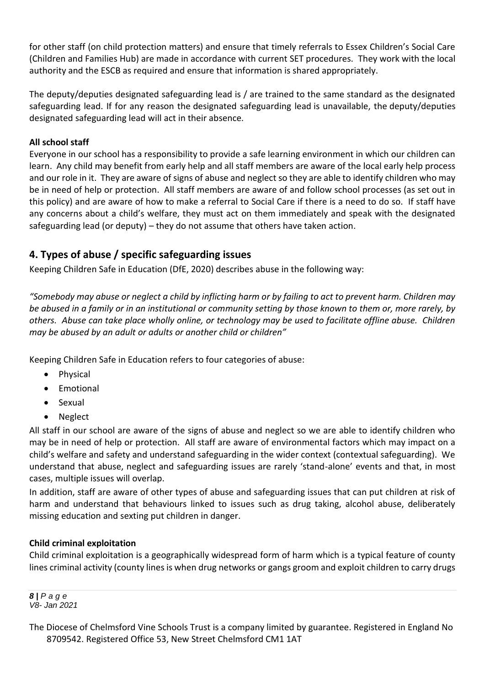for other staff (on child protection matters) and ensure that timely referrals to Essex Children's Social Care (Children and Families Hub) are made in accordance with current SET procedures. They work with the local authority and the ESCB as required and ensure that information is shared appropriately.

The deputy/deputies designated safeguarding lead is / are trained to the same standard as the designated safeguarding lead. If for any reason the designated safeguarding lead is unavailable, the deputy/deputies designated safeguarding lead will act in their absence*.* 

#### **All school staff**

Everyone in our school has a responsibility to provide a safe learning environment in which our children can learn. Any child may benefit from early help and all staff members are aware of the local early help process and our role in it. They are aware of signs of abuse and neglect so they are able to identify children who may be in need of help or protection. All staff members are aware of and follow school processes (as set out in this policy) and are aware of how to make a referral to Social Care if there is a need to do so. If staff have any concerns about a child's welfare, they must act on them immediately and speak with the designated safeguarding lead (or deputy) – they do not assume that others have taken action.

# **4. Types of abuse / specific safeguarding issues**

Keeping Children Safe in Education (DfE, 2020) describes abuse in the following way:

*"Somebody may abuse or neglect a child by inflicting harm or by failing to act to prevent harm. Children may be abused in a family or in an institutional or community setting by those known to them or, more rarely, by others. Abuse can take place wholly online, or technology may be used to facilitate offline abuse. Children may be abused by an adult or adults or another child or children"*

Keeping Children Safe in Education refers to four categories of abuse:

- Physical
- Emotional
- Sexual
- Neglect

All staff in our school are aware of the signs of abuse and neglect so we are able to identify children who may be in need of help or protection. All staff are aware of environmental factors which may impact on a child's welfare and safety and understand safeguarding in the wider context (contextual safeguarding). We understand that abuse, neglect and safeguarding issues are rarely 'stand-alone' events and that, in most cases, multiple issues will overlap.

In addition, staff are aware of other types of abuse and safeguarding issues that can put children at risk of harm and understand that behaviours linked to issues such as drug taking, alcohol abuse, deliberately missing education and sexting put children in danger.

#### **Child criminal exploitation**

Child criminal exploitation is a geographically widespread form of harm which is a typical feature of county lines criminal activity (county lines is when drug networks or gangs groom and exploit children to carry drugs

*8 | P a g e V8- Jan 2021*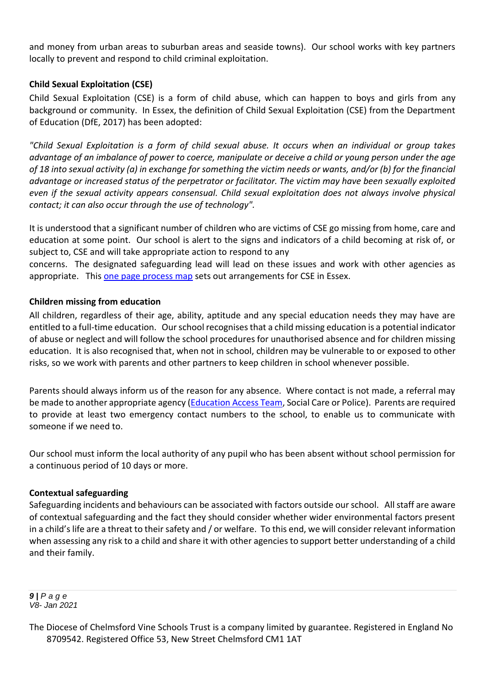and money from urban areas to suburban areas and seaside towns). Our school works with key partners locally to prevent and respond to child criminal exploitation.

#### **Child Sexual Exploitation (CSE)**

Child Sexual Exploitation (CSE) is a form of child abuse, which can happen to boys and girls from any background or community. In Essex, the definition of Child Sexual Exploitation (CSE) from the Department of Education (DfE, 2017) has been adopted:

*"Child Sexual Exploitation is a form of child sexual abuse. It occurs when an individual or group takes advantage of an imbalance of power to coerce, manipulate or deceive a child or young person under the age of 18 into sexual activity (a) in exchange for something the victim needs or wants, and/or (b) for the financial advantage or increased status of the perpetrator or facilitator. The victim may have been sexually exploited even if the sexual activity appears consensual. Child sexual exploitation does not always involve physical contact; it can also occur through the use of technology".*

It is understood that a significant number of children who are victims of CSE go missing from home, care and education at some point. Our school is alert to the signs and indicators of a child becoming at risk of, or subject to, CSE and will take appropriate action to respond to any

concerns. The designated safeguarding lead will lead on these issues and work with other agencies as appropriate. This [one page process map](http://www.escb.co.uk/Portals/67/Documents/CSE/CSE%201%20pager%20(April%2018).pdf) sets out arrangements for CSE in Essex.

#### **Children missing from education**

All children, regardless of their age, ability, aptitude and any special education needs they may have are entitled to a full-time education. Our school recognises that a child missing education is a potential indicator of abuse or neglect and will follow the school procedures for unauthorised absence and for children missing education. It is also recognised that, when not in school, children may be vulnerable to or exposed to other risks, so we work with parents and other partners to keep children in school whenever possible.

Parents should always inform us of the reason for any absence. Where contact is not made, a referral may be made to another appropriate agency [\(Education Access Team,](https://schools.essex.gov.uk/pupils/Education_Access/Pages/default.aspx) Social Care or Police). Parents are required to provide at least two emergency contact numbers to the school, to enable us to communicate with someone if we need to.

Our school must inform the local authority of any pupil who has been absent without school permission for a continuous period of 10 days or more.

#### **Contextual safeguarding**

Safeguarding incidents and behaviours can be associated with factors outside our school. All staff are aware of contextual safeguarding and the fact they should consider whether wider environmental factors present in a child's life are a threat to their safety and / or welfare. To this end, we will consider relevant information when assessing any risk to a child and share it with other agencies to support better understanding of a child and their family.

*9 | P a g e V8- Jan 2021*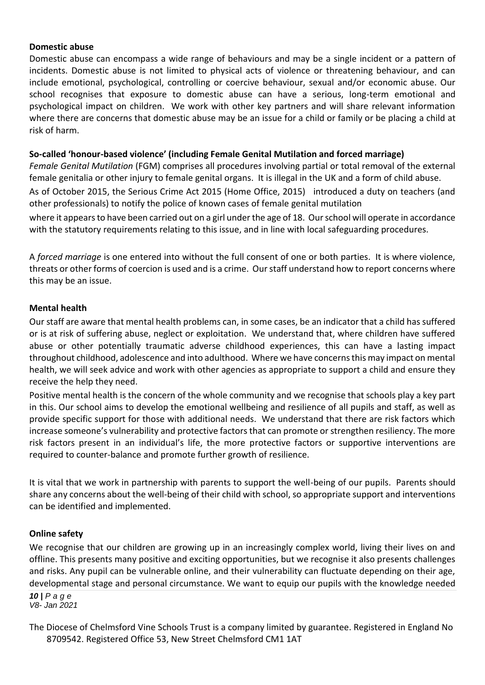#### **Domestic abuse**

Domestic abuse can encompass a wide range of behaviours and may be a single incident or a pattern of incidents. Domestic abuse is not limited to physical acts of violence or threatening behaviour, and can include emotional, psychological, controlling or coercive behaviour, sexual and/or economic abuse. Our school recognises that exposure to domestic abuse can have a serious, long-term emotional and psychological impact on children. We work with other key partners and will share relevant information where there are concerns that domestic abuse may be an issue for a child or family or be placing a child at risk of harm.

#### **So-called 'honour-based violence' (including Female Genital Mutilation and forced marriage)**

*Female Genital Mutilation* (FGM) comprises all procedures involving partial or total removal of the external female genitalia or other injury to female genital organs. It is illegal in the UK and a form of child abuse.

As of October 2015, the Serious Crime Act 2015 (Home Office, 2015) introduced a duty on teachers (and other professionals) to notify the police of known cases of female genital mutilation

where it appears to have been carried out on a girl under the age of 18. Our school will operate in accordance with the statutory requirements relating to this issue, and in line with local safeguarding procedures.

A *forced marriage* is one entered into without the full consent of one or both parties. It is where violence, threats or other forms of coercion is used and is a crime. Our staff understand how to report concerns where this may be an issue.

#### **Mental health**

Our staff are aware that mental health problems can, in some cases, be an indicator that a child has suffered or is at risk of suffering abuse, neglect or exploitation. We understand that, where children have suffered abuse or other potentially traumatic adverse childhood experiences, this can have a lasting impact throughout childhood, adolescence and into adulthood. Where we have concerns this may impact on mental health, we will seek advice and work with other agencies as appropriate to support a child and ensure they receive the help they need.

Positive mental health is the concern of the whole community and we recognise that schools play a key part in this. Our school aims to develop the emotional wellbeing and resilience of all pupils and staff, as well as provide specific support for those with additional needs. We understand that there are risk factors which increase someone's vulnerability and protective factors that can promote or strengthen resiliency. The more risk factors present in an individual's life, the more protective factors or supportive interventions are required to counter-balance and promote further growth of resilience.

It is vital that we work in partnership with parents to support the well-being of our pupils. Parents should share any concerns about the well-being of their child with school, so appropriate support and interventions can be identified and implemented.

#### **Online safety**

We recognise that our children are growing up in an increasingly complex world, living their lives on and offline. This presents many positive and exciting opportunities, but we recognise it also presents challenges and risks. Any pupil can be vulnerable online, and their vulnerability can fluctuate depending on their age, developmental stage and personal circumstance. We want to equip our pupils with the knowledge needed

*10 | P a g e V8- Jan 2021*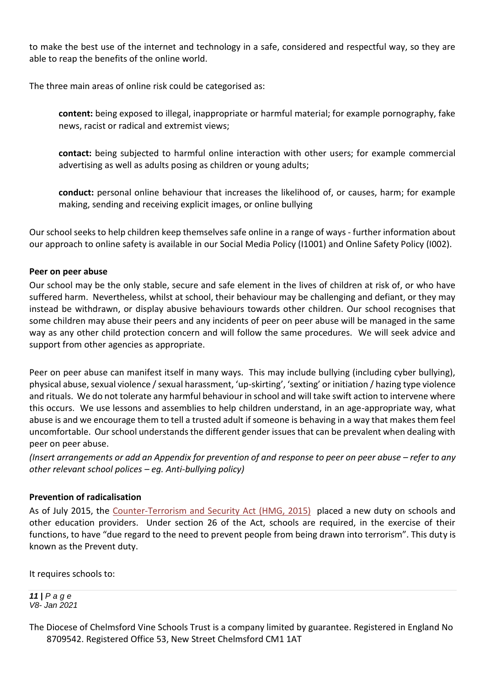to make the best use of the internet and technology in a safe, considered and respectful way, so they are able to reap the benefits of the online world.

The three main areas of online risk could be categorised as:

**content:** being exposed to illegal, inappropriate or harmful material; for example pornography, fake news, racist or radical and extremist views;

**contact:** being subjected to harmful online interaction with other users; for example commercial advertising as well as adults posing as children or young adults;

**conduct:** personal online behaviour that increases the likelihood of, or causes, harm; for example making, sending and receiving explicit images, or online bullying

Our school seeks to help children keep themselves safe online in a range of ways - further information about our approach to online safety is available in our Social Media Policy (I1001) and Online Safety Policy (I002).

#### **Peer on peer abuse**

Our school may be the only stable, secure and safe element in the lives of children at risk of, or who have suffered harm. Nevertheless, whilst at school, their behaviour may be challenging and defiant, or they may instead be withdrawn, or display abusive behaviours towards other children. Our school recognises that some children may abuse their peers and any incidents of peer on peer abuse will be managed in the same way as any other child protection concern and will follow the same procedures. We will seek advice and support from other agencies as appropriate.

Peer on peer abuse can manifest itself in many ways. This may include bullying (including cyber bullying), physical abuse, sexual violence / sexual harassment, 'up-skirting', 'sexting' or initiation / hazing type violence and rituals. We do not tolerate any harmful behaviour in school and will take swift action to intervene where this occurs. We use lessons and assemblies to help children understand, in an age-appropriate way, what abuse is and we encourage them to tell a trusted adult if someone is behaving in a way that makes them feel uncomfortable. Our school understands the different gender issues that can be prevalent when dealing with peer on peer abuse.

*(Insert arrangements or add an Appendix for prevention of and response to peer on peer abuse – refer to any other relevant school polices – eg. Anti-bullying policy)*

#### **Prevention of radicalisation**

As of July 2015, the [Counter-Terrorism and Security Act \(HMG, 2015\)](http://www.legislation.gov.uk/ukpga/2015/6/contents) placed a new duty on schools and other education providers. Under section 26 of the Act, schools are required, in the exercise of their functions, to have "due regard to the need to prevent people from being drawn into terrorism". This duty is known as the Prevent duty.

It requires schools to:

*11 | P a g e V8- Jan 2021*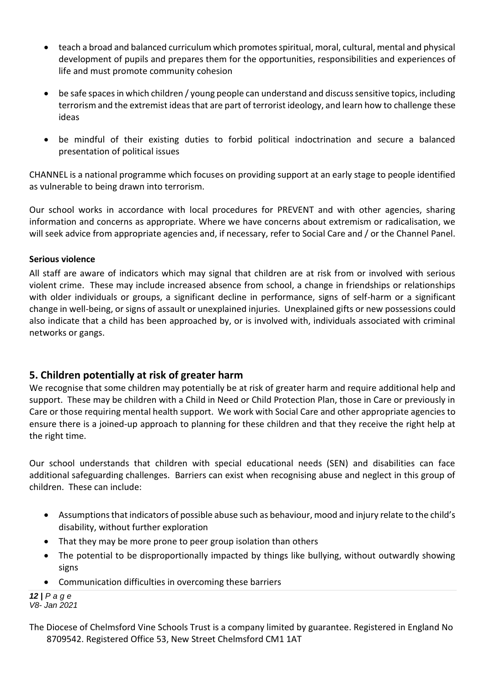- teach a broad and balanced curriculum which promotes spiritual, moral, cultural, mental and physical development of pupils and prepares them for the opportunities, responsibilities and experiences of life and must promote community cohesion
- be safe spaces in which children / young people can understand and discuss sensitive topics, including terrorism and the extremist ideas that are part of terrorist ideology, and learn how to challenge these ideas
- be mindful of their existing duties to forbid political indoctrination and secure a balanced presentation of political issues

CHANNEL is a national programme which focuses on providing support at an early stage to people identified as vulnerable to being drawn into terrorism.

Our school works in accordance with local procedures for PREVENT and with other agencies, sharing information and concerns as appropriate. Where we have concerns about extremism or radicalisation, we will seek advice from appropriate agencies and, if necessary, refer to Social Care and / or the Channel Panel.

#### **Serious violence**

All staff are aware of indicators which may signal that children are at risk from or involved with serious violent crime. These may include increased absence from school, a change in friendships or relationships with older individuals or groups, a significant decline in performance, signs of self-harm or a significant change in well-being, or signs of assault or unexplained injuries. Unexplained gifts or new possessions could also indicate that a child has been approached by, or is involved with, individuals associated with criminal networks or gangs.

# **5. Children potentially at risk of greater harm**

We recognise that some children may potentially be at risk of greater harm and require additional help and support. These may be children with a Child in Need or Child Protection Plan, those in Care or previously in Care or those requiring mental health support. We work with Social Care and other appropriate agencies to ensure there is a joined-up approach to planning for these children and that they receive the right help at the right time.

Our school understands that children with special educational needs (SEN) and disabilities can face additional safeguarding challenges. Barriers can exist when recognising abuse and neglect in this group of children. These can include:

- Assumptions that indicators of possible abuse such as behaviour, mood and injury relate to the child's disability, without further exploration
- That they may be more prone to peer group isolation than others
- The potential to be disproportionally impacted by things like bullying, without outwardly showing signs
- Communication difficulties in overcoming these barriers

```
12 | P a g e
V8- Jan 2021
```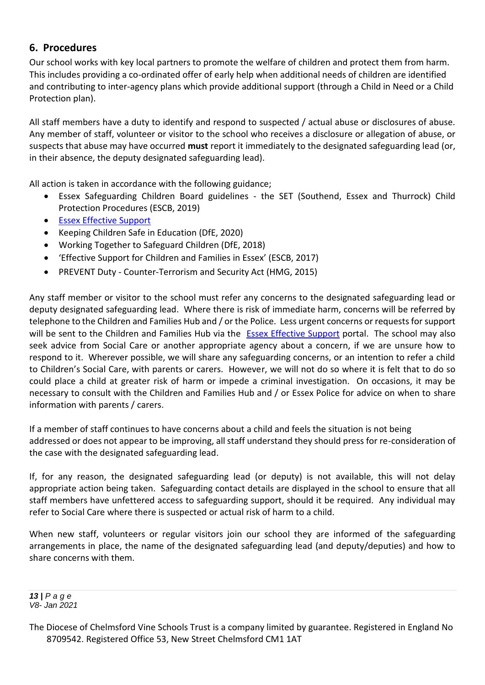# **6. Procedures**

Our school works with key local partners to promote the welfare of children and protect them from harm. This includes providing a co-ordinated offer of early help when additional needs of children are identified and contributing to inter-agency plans which provide additional support (through a Child in Need or a Child Protection plan).

All staff members have a duty to identify and respond to suspected / actual abuse or disclosures of abuse. Any member of staff, volunteer or visitor to the school who receives a disclosure or allegation of abuse, or suspects that abuse may have occurred **must** report it immediately to the designated safeguarding lead (or, in their absence, the deputy designated safeguarding lead).

All action is taken in accordance with the following guidance;

- Essex Safeguarding Children Board guidelines the SET (Southend, Essex and Thurrock) Child Protection Procedures (ESCB, 2019)
- [Essex Effective Support](https://www.essex.gov.uk/report-a-concern-about-a-child)
- Keeping Children Safe in Education (DfE, 2020)
- Working Together to Safeguard Children (DfE, 2018)
- 'Effective Support for Children and Families in Essex' (ESCB, 2017)
- PREVENT Duty Counter-Terrorism and Security Act (HMG, 2015)

Any staff member or visitor to the school must refer any concerns to the designated safeguarding lead or deputy designated safeguarding lead. Where there is risk of immediate harm, concerns will be referred by telephone to the Children and Families Hub and / or the Police. Less urgent concerns or requests for support will be sent to the Children and Families Hub via the [Essex Effective Support](https://www.essex.gov.uk/report-a-concern-about-a-child) portal. The school may also seek advice from Social Care or another appropriate agency about a concern, if we are unsure how to respond to it. Wherever possible, we will share any safeguarding concerns, or an intention to refer a child to Children's Social Care, with parents or carers. However, we will not do so where it is felt that to do so could place a child at greater risk of harm or impede a criminal investigation. On occasions, it may be necessary to consult with the Children and Families Hub and / or Essex Police for advice on when to share information with parents / carers.

If a member of staff continues to have concerns about a child and feels the situation is not being addressed or does not appear to be improving, all staff understand they should press for re-consideration of the case with the designated safeguarding lead.

If, for any reason, the designated safeguarding lead (or deputy) is not available, this will not delay appropriate action being taken. Safeguarding contact details are displayed in the school to ensure that all staff members have unfettered access to safeguarding support, should it be required. Any individual may refer to Social Care where there is suspected or actual risk of harm to a child.

When new staff, volunteers or regular visitors join our school they are informed of the safeguarding arrangements in place, the name of the designated safeguarding lead (and deputy/deputies) and how to share concerns with them.

*13 | P a g e V8- Jan 2021*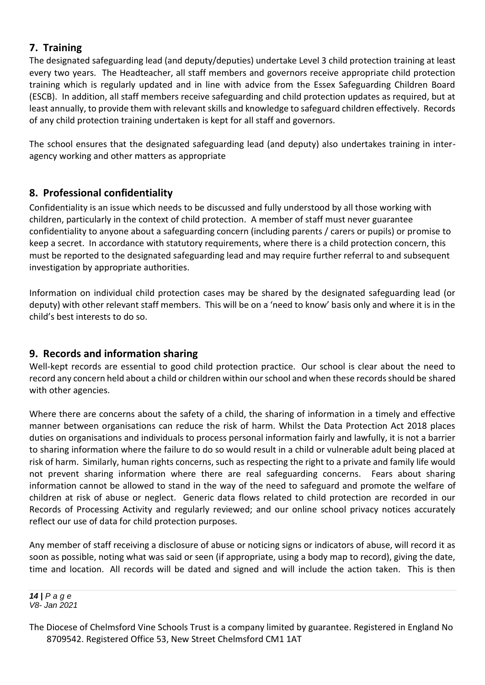# **7. Training**

The designated safeguarding lead (and deputy/deputies) undertake Level 3 child protection training at least every two years. The Headteacher, all staff members and governors receive appropriate child protection training which is regularly updated and in line with advice from the Essex Safeguarding Children Board (ESCB). In addition, all staff members receive safeguarding and child protection updates as required, but at least annually, to provide them with relevant skills and knowledge to safeguard children effectively. Records of any child protection training undertaken is kept for all staff and governors.

The school ensures that the designated safeguarding lead (and deputy) also undertakes training in interagency working and other matters as appropriate

# **8. Professional confidentiality**

Confidentiality is an issue which needs to be discussed and fully understood by all those working with children, particularly in the context of child protection. A member of staff must never guarantee confidentiality to anyone about a safeguarding concern (including parents / carers or pupils) or promise to keep a secret. In accordance with statutory requirements, where there is a child protection concern, this must be reported to the designated safeguarding lead and may require further referral to and subsequent investigation by appropriate authorities.

Information on individual child protection cases may be shared by the designated safeguarding lead (or deputy) with other relevant staff members. This will be on a 'need to know' basis only and where it is in the child's best interests to do so.

# **9. Records and information sharing**

Well-kept records are essential to good child protection practice. Our school is clear about the need to record any concern held about a child or children within our school and when these records should be shared with other agencies.

Where there are concerns about the safety of a child, the sharing of information in a timely and effective manner between organisations can reduce the risk of harm. Whilst the Data Protection Act 2018 places duties on organisations and individuals to process personal information fairly and lawfully, it is not a barrier to sharing information where the failure to do so would result in a child or vulnerable adult being placed at risk of harm. Similarly, human rights concerns, such as respecting the right to a private and family life would not prevent sharing information where there are real safeguarding concerns. Fears about sharing information cannot be allowed to stand in the way of the need to safeguard and promote the welfare of children at risk of abuse or neglect. Generic data flows related to child protection are recorded in our Records of Processing Activity and regularly reviewed; and our online school privacy notices accurately reflect our use of data for child protection purposes.

Any member of staff receiving a disclosure of abuse or noticing signs or indicators of abuse, will record it as soon as possible, noting what was said or seen (if appropriate, using a body map to record), giving the date, time and location. All records will be dated and signed and will include the action taken. This is then

*14 | P a g e V8- Jan 2021*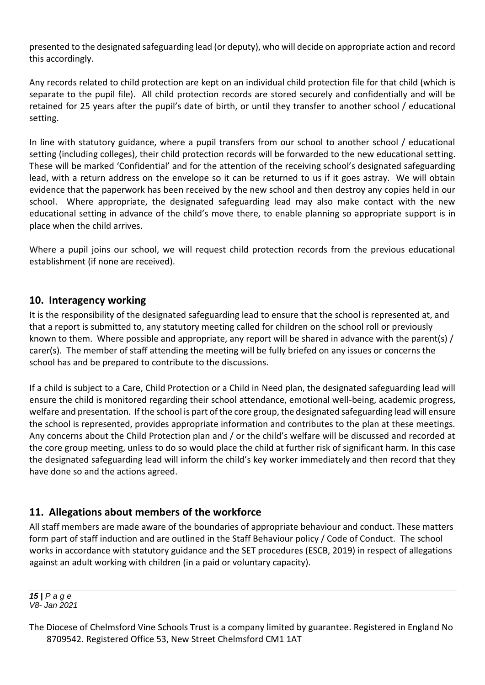presented to the designated safeguarding lead (or deputy), who will decide on appropriate action and record this accordingly.

Any records related to child protection are kept on an individual child protection file for that child (which is separate to the pupil file). All child protection records are stored securely and confidentially and will be retained for 25 years after the pupil's date of birth, or until they transfer to another school / educational setting.

In line with statutory guidance, where a pupil transfers from our school to another school / educational setting (including colleges), their child protection records will be forwarded to the new educational setting. These will be marked 'Confidential' and for the attention of the receiving school's designated safeguarding lead, with a return address on the envelope so it can be returned to us if it goes astray. We will obtain evidence that the paperwork has been received by the new school and then destroy any copies held in our school. Where appropriate, the designated safeguarding lead may also make contact with the new educational setting in advance of the child's move there, to enable planning so appropriate support is in place when the child arrives.

Where a pupil joins our school, we will request child protection records from the previous educational establishment (if none are received).

# **10. Interagency working**

It is the responsibility of the designated safeguarding lead to ensure that the school is represented at, and that a report is submitted to, any statutory meeting called for children on the school roll or previously known to them. Where possible and appropriate, any report will be shared in advance with the parent(s) / carer(s). The member of staff attending the meeting will be fully briefed on any issues or concerns the school has and be prepared to contribute to the discussions.

If a child is subject to a Care, Child Protection or a Child in Need plan, the designated safeguarding lead will ensure the child is monitored regarding their school attendance, emotional well-being, academic progress, welfare and presentation. If the school is part of the core group, the designated safeguarding lead will ensure the school is represented, provides appropriate information and contributes to the plan at these meetings. Any concerns about the Child Protection plan and / or the child's welfare will be discussed and recorded at the core group meeting, unless to do so would place the child at further risk of significant harm. In this case the designated safeguarding lead will inform the child's key worker immediately and then record that they have done so and the actions agreed.

# **11. Allegations about members of the workforce**

All staff members are made aware of the boundaries of appropriate behaviour and conduct. These matters form part of staff induction and are outlined in the Staff Behaviour policy / Code of Conduct. The school works in accordance with statutory guidance and the SET procedures (ESCB, 2019) in respect of allegations against an adult working with children (in a paid or voluntary capacity).

*15 | P a g e V8- Jan 2021*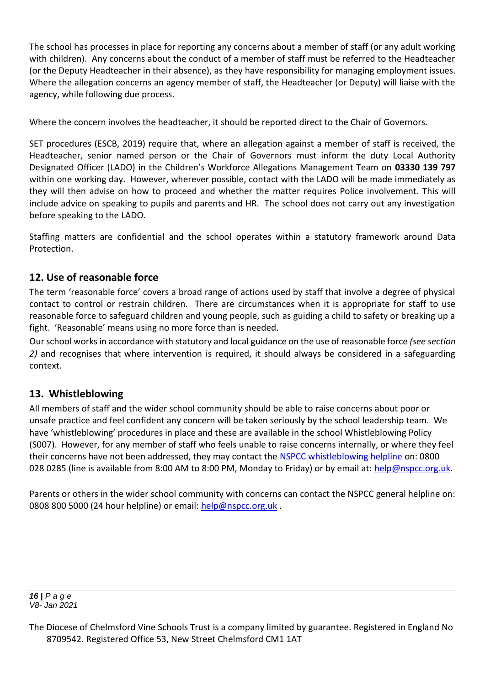The school has processes in place for reporting any concerns about a member of staff (or any adult working with children). Any concerns about the conduct of a member of staff must be referred to the Headteacher (or the Deputy Headteacher in their absence), as they have responsibility for managing employment issues. Where the allegation concerns an agency member of staff, the Headteacher (or Deputy) will liaise with the agency, while following due process.

Where the concern involves the headteacher, it should be reported direct to the Chair of Governors.

SET procedures (ESCB, 2019) require that, where an allegation against a member of staff is received, the Headteacher, senior named person or the Chair of Governors must inform the duty Local Authority Designated Officer (LADO) in the Children's Workforce Allegations Management Team on **03330 139 797**  within one working day. However, wherever possible, contact with the LADO will be made immediately as they will then advise on how to proceed and whether the matter requires Police involvement. This will include advice on speaking to pupils and parents and HR. The school does not carry out any investigation before speaking to the LADO.

Staffing matters are confidential and the school operates within a statutory framework around Data Protection.

# **12. Use of reasonable force**

The term 'reasonable force' covers a broad range of actions used by staff that involve a degree of physical contact to control or restrain children. There are circumstances when it is appropriate for staff to use reasonable force to safeguard children and young people, such as guiding a child to safety or breaking up a fight. 'Reasonable' means using no more force than is needed.

Our school works in accordance with statutory and local guidance on the use of reasonable force *(see section 2)* and recognises that where intervention is required, it should always be considered in a safeguarding context.

# **13. Whistleblowing**

All members of staff and the wider school community should be able to raise concerns about poor or unsafe practice and feel confident any concern will be taken seriously by the school leadership team. We have 'whistleblowing' procedures in place and these are available in the school Whistleblowing Policy (S007). However, for any member of staff who feels unable to raise concerns internally, or where they feel their concerns have not been addressed, they may contact the [NSPCC whistleblowing helpline](https://www.nspcc.org.uk/what-you-can-do/report-abuse/dedicated-helplines/whistleblowing-advice-line/) on: 0800 028 0285 (line is available from 8:00 AM to 8:00 PM, Monday to Friday) or by email at: [help@nspcc.org.uk.](mailto:help@nspcc.org.uk)

Parents or others in the wider school community with concerns can contact the NSPCC general helpline on: 0808 800 5000 (24 hour helpline) or email: [help@nspcc.org.uk](mailto:help@nspcc.org.uk).

*16 | P a g e V8- Jan 2021*

The Diocese of Chelmsford Vine Schools Trust is a company limited by guarantee. Registered in England No 8709542. Registered Office 53, New Street Chelmsford CM1 1AT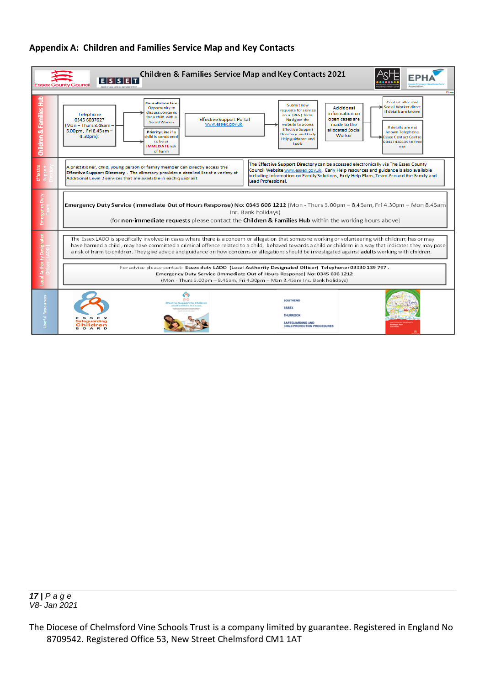#### **Appendix A: Children and Families Service Map and Key Contacts**

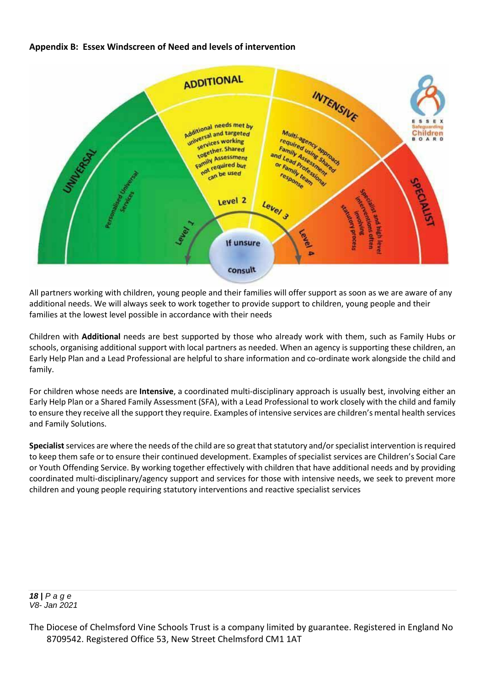#### **Appendix B: Essex Windscreen of Need and levels of intervention**



All partners working with children, young people and their families will offer support as soon as we are aware of any additional needs. We will always seek to work together to provide support to children, young people and their families at the lowest level possible in accordance with their needs

Children with **Additional** needs are best supported by those who already work with them, such as Family Hubs or schools, organising additional support with local partners as needed. When an agency is supporting these children, an Early Help Plan and a Lead Professional are helpful to share information and co-ordinate work alongside the child and family.

For children whose needs are **Intensive**, a coordinated multi-disciplinary approach is usually best, involving either an Early Help Plan or a Shared Family Assessment (SFA), with a Lead Professional to work closely with the child and family to ensure they receive all the support they require. Examples of intensive services are children's mental health services and Family Solutions.

**Specialist**services are where the needs of the child are so great that statutory and/or specialist intervention is required to keep them safe or to ensure their continued development. Examples of specialist services are Children's Social Care or Youth Offending Service. By working together effectively with children that have additional needs and by providing coordinated multi-disciplinary/agency support and services for those with intensive needs, we seek to prevent more children and young people requiring statutory interventions and reactive specialist services

*18 | P a g e V8- Jan 2021*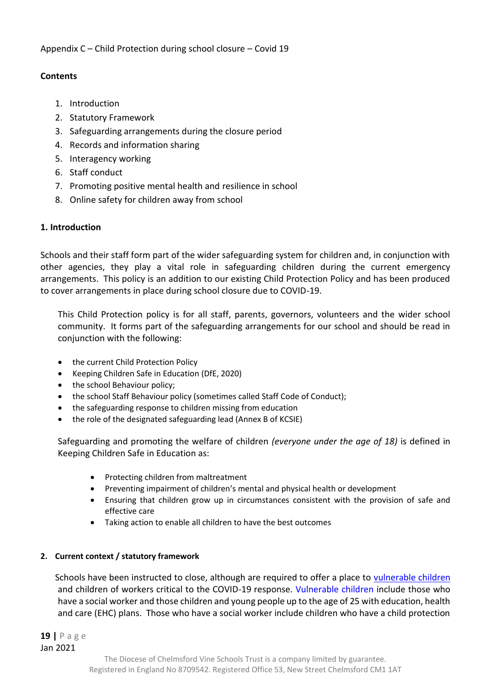#### **Contents**

- 1. Introduction
- 2. Statutory Framework
- 3. Safeguarding arrangements during the closure period
- 4. Records and information sharing
- 5. Interagency working
- 6. Staff conduct
- 7. Promoting positive mental health and resilience in school
- 8. Online safety for children away from school

# **1. Introduction**

Schools and their staff form part of the wider safeguarding system for children and, in conjunction with other agencies, they play a vital role in safeguarding children during the current emergency arrangements. This policy is an addition to our existing Child Protection Policy and has been produced to cover arrangements in place during school closure due to COVID-19.

This Child Protection policy is for all staff, parents, governors, volunteers and the wider school community. It forms part of the safeguarding arrangements for our school and should be read in conjunction with the following:

- the current Child Protection Policy
- Keeping Children Safe in Education (DfE, 2020)
- the school Behaviour policy;
- the school Staff Behaviour policy (sometimes called Staff Code of Conduct);
- the safeguarding response to children missing from education
- the role of the designated safeguarding lead (Annex B of KCSIE)

Safeguarding and promoting the welfare of children *(everyone under the age of 18)* is defined in Keeping Children Safe in Education as:

- Protecting children from maltreatment
- Preventing impairment of children's mental and physical health or development
- Ensuring that children grow up in circumstances consistent with the provision of safe and effective care
- Taking action to enable all children to have the best outcomes

# **2. Current context / statutory framework**

Schools have been instructed to close, although are required to offer a place to [vulnerable children](https://www.gov.uk/government/publications/coronavirus-covid-19-maintaining-educational-provision/guidance-for-schools-colleges-and-local-authorities-on-maintaining-educational-provision)  and children of workers critical to the COVID-19 response. [Vulnerable children](https://www.gov.uk/government/publications/coronavirus-covid-19-guidance-on-vulnerable-children-and-young-people) include those who have a social worker and those children and young people up to the age of 25 with education, health and care (EHC) plans. Those who have a social worker include children who have a child protection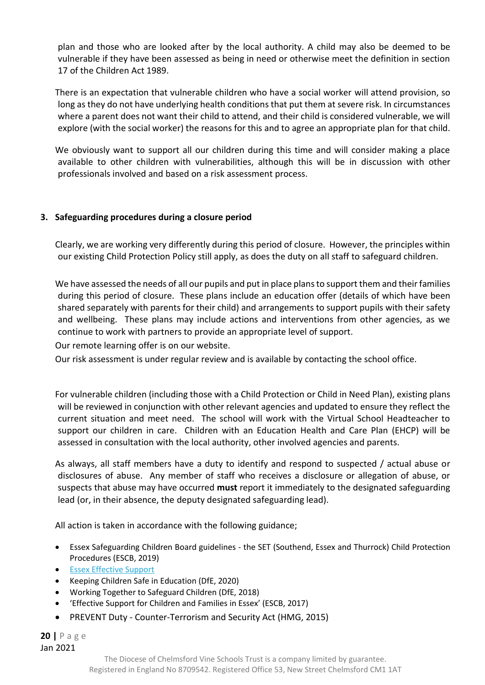plan and those who are looked after by the local authority. A child may also be deemed to be vulnerable if they have been assessed as being in need or otherwise meet the definition in section 17 of the Children Act 1989.

There is an expectation that vulnerable children who have a social worker will attend provision, so long as they do not have underlying health conditions that put them at severe risk. In circumstances where a parent does not want their child to attend, and their child is considered vulnerable, we will explore (with the social worker) the reasons for this and to agree an appropriate plan for that child.

We obviously want to support all our children during this time and will consider making a place available to other children with vulnerabilities, although this will be in discussion with other professionals involved and based on a risk assessment process.

#### **3. Safeguarding procedures during a closure period**

Clearly, we are working very differently during this period of closure. However, the principles within our existing Child Protection Policy still apply, as does the duty on all staff to safeguard children.

We have assessed the needs of all our pupils and put in place plans to support them and their families during this period of closure. These plans include an education offer (details of which have been shared separately with parents for their child) and arrangements to support pupils with their safety and wellbeing. These plans may include actions and interventions from other agencies, as we continue to work with partners to provide an appropriate level of support.

Our remote learning offer is on our website.

Our risk assessment is under regular review and is available by contacting the school office.

For vulnerable children (including those with a Child Protection or Child in Need Plan), existing plans will be reviewed in conjunction with other relevant agencies and updated to ensure they reflect the current situation and meet need. The school will work with the Virtual School Headteacher to support our children in care. Children with an Education Health and Care Plan (EHCP) will be assessed in consultation with the local authority, other involved agencies and parents.

As always, all staff members have a duty to identify and respond to suspected / actual abuse or disclosures of abuse. Any member of staff who receives a disclosure or allegation of abuse, or suspects that abuse may have occurred **must** report it immediately to the designated safeguarding lead (or, in their absence, the deputy designated safeguarding lead).

All action is taken in accordance with the following guidance;

- Essex Safeguarding Children Board guidelines the SET (Southend, Essex and Thurrock) Child Protection Procedures (ESCB, 2019)
- [Essex Effective Support](http://links.govdelivery.com/track?type=click&enid=ZWFzPTEmbWFpbGluZ2lkPTIwMTgwNDExLjg4MjIzMTExJm1lc3NhZ2VpZD1NREItUFJELUJVTC0yMDE4MDQxMS44ODIyMzExMSZkYXRhYmFzZWlkPTEwMDEmc2VyaWFsPTE3MzE0NjA5JmVtYWlsaWQ9am8uYmFyY2xheUBlc3NleC5nb3YudWsmdXNlcmlkPWpvLmJhcmNsYXlAZXNzZXguZ292LnVrJmZsPSZleHRyYT1NdWx0aXZhcmlhdGVJZD0mJiY=&&&100&&&https://www.essexeffectivesupport.org.uk/)
- Keeping Children Safe in Education (DfE, 2020)
- Working Together to Safeguard Children (DfE, 2018)
- 'Effective Support for Children and Families in Essex' (ESCB, 2017)
- PREVENT Duty Counter-Terrorism and Security Act (HMG, 2015)

**20 |** P a g e Jan 2021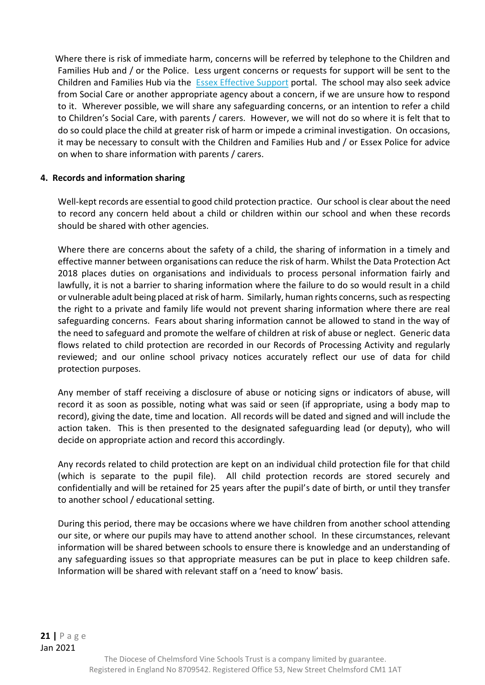Where there is risk of immediate harm, concerns will be referred by telephone to the Children and Families Hub and / or the Police. Less urgent concerns or requests for support will be sent to the Children and Families Hub via the **[Essex Effective Support](http://links.govdelivery.com/track?type=click&enid=ZWFzPTEmbWFpbGluZ2lkPTIwMTgwNDExLjg4MjIzMTExJm1lc3NhZ2VpZD1NREItUFJELUJVTC0yMDE4MDQxMS44ODIyMzExMSZkYXRhYmFzZWlkPTEwMDEmc2VyaWFsPTE3MzE0NjA5JmVtYWlsaWQ9am8uYmFyY2xheUBlc3NleC5nb3YudWsmdXNlcmlkPWpvLmJhcmNsYXlAZXNzZXguZ292LnVrJmZsPSZleHRyYT1NdWx0aXZhcmlhdGVJZD0mJiY=&&&100&&&https://www.essexeffectivesupport.org.uk/)** portal. The school may also seek advice from Social Care or another appropriate agency about a concern, if we are unsure how to respond to it. Wherever possible, we will share any safeguarding concerns, or an intention to refer a child to Children's Social Care, with parents / carers. However, we will not do so where it is felt that to do so could place the child at greater risk of harm or impede a criminal investigation. On occasions, it may be necessary to consult with the Children and Families Hub and / or Essex Police for advice on when to share information with parents / carers.

#### **4. Records and information sharing**

Well-kept records are essential to good child protection practice. Our school is clear about the need to record any concern held about a child or children within our school and when these records should be shared with other agencies.

Where there are concerns about the safety of a child, the sharing of information in a timely and effective manner between organisations can reduce the risk of harm. Whilst the Data Protection Act 2018 places duties on organisations and individuals to process personal information fairly and lawfully, it is not a barrier to sharing information where the failure to do so would result in a child or vulnerable adult being placed at risk of harm. Similarly, human rights concerns, such as respecting the right to a private and family life would not prevent sharing information where there are real safeguarding concerns. Fears about sharing information cannot be allowed to stand in the way of the need to safeguard and promote the welfare of children at risk of abuse or neglect. Generic data flows related to child protection are recorded in our Records of Processing Activity and regularly reviewed; and our online school privacy notices accurately reflect our use of data for child protection purposes.

Any member of staff receiving a disclosure of abuse or noticing signs or indicators of abuse, will record it as soon as possible, noting what was said or seen (if appropriate, using a body map to record), giving the date, time and location. All records will be dated and signed and will include the action taken. This is then presented to the designated safeguarding lead (or deputy), who will decide on appropriate action and record this accordingly.

Any records related to child protection are kept on an individual child protection file for that child (which is separate to the pupil file). All child protection records are stored securely and confidentially and will be retained for 25 years after the pupil's date of birth, or until they transfer to another school / educational setting.

During this period, there may be occasions where we have children from another school attending our site, or where our pupils may have to attend another school. In these circumstances, relevant information will be shared between schools to ensure there is knowledge and an understanding of any safeguarding issues so that appropriate measures can be put in place to keep children safe. Information will be shared with relevant staff on a 'need to know' basis.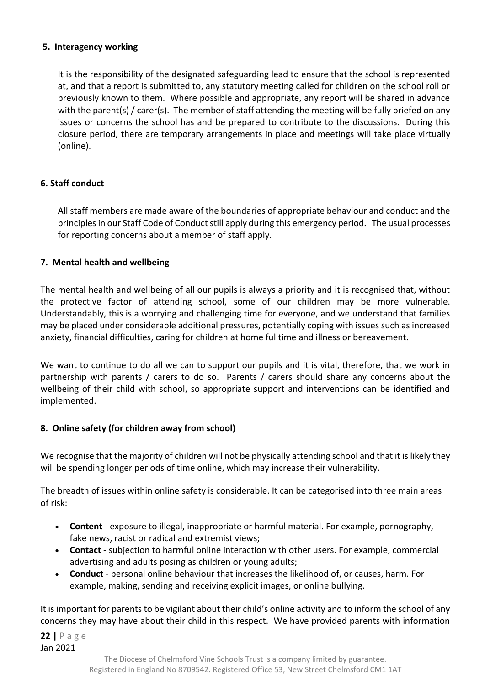#### **5. Interagency working**

It is the responsibility of the designated safeguarding lead to ensure that the school is represented at, and that a report is submitted to, any statutory meeting called for children on the school roll or previously known to them. Where possible and appropriate, any report will be shared in advance with the parent(s) / carer(s). The member of staff attending the meeting will be fully briefed on any issues or concerns the school has and be prepared to contribute to the discussions. During this closure period, there are temporary arrangements in place and meetings will take place virtually (online).

#### **6. Staff conduct**

All staff members are made aware of the boundaries of appropriate behaviour and conduct and the principles in our Staff Code of Conduct still apply during this emergency period. The usual processes for reporting concerns about a member of staff apply.

#### **7. Mental health and wellbeing**

The mental health and wellbeing of all our pupils is always a priority and it is recognised that, without the protective factor of attending school, some of our children may be more vulnerable. Understandably, this is a worrying and challenging time for everyone, and we understand that families may be placed under considerable additional pressures, potentially coping with issues such as increased anxiety, financial difficulties, caring for children at home fulltime and illness or bereavement.

We want to continue to do all we can to support our pupils and it is vital, therefore, that we work in partnership with parents / carers to do so. Parents / carers should share any concerns about the wellbeing of their child with school, so appropriate support and interventions can be identified and implemented.

#### **8. Online safety (for children away from school)**

We recognise that the majority of children will not be physically attending school and that it is likely they will be spending longer periods of time online, which may increase their vulnerability.

The breadth of issues within online safety is considerable. It can be categorised into three main areas of risk:

- **Content** exposure to illegal, inappropriate or harmful material. For example, pornography, fake news, racist or radical and extremist views;
- **Contact**  subjection to harmful online interaction with other users. For example, commercial advertising and adults posing as children or young adults;
- **Conduct**  personal online behaviour that increases the likelihood of, or causes, harm. For example, making, sending and receiving explicit images, or online bullying.

It is important for parents to be vigilant about their child's online activity and to inform the school of any concerns they may have about their child in this respect. We have provided parents with information